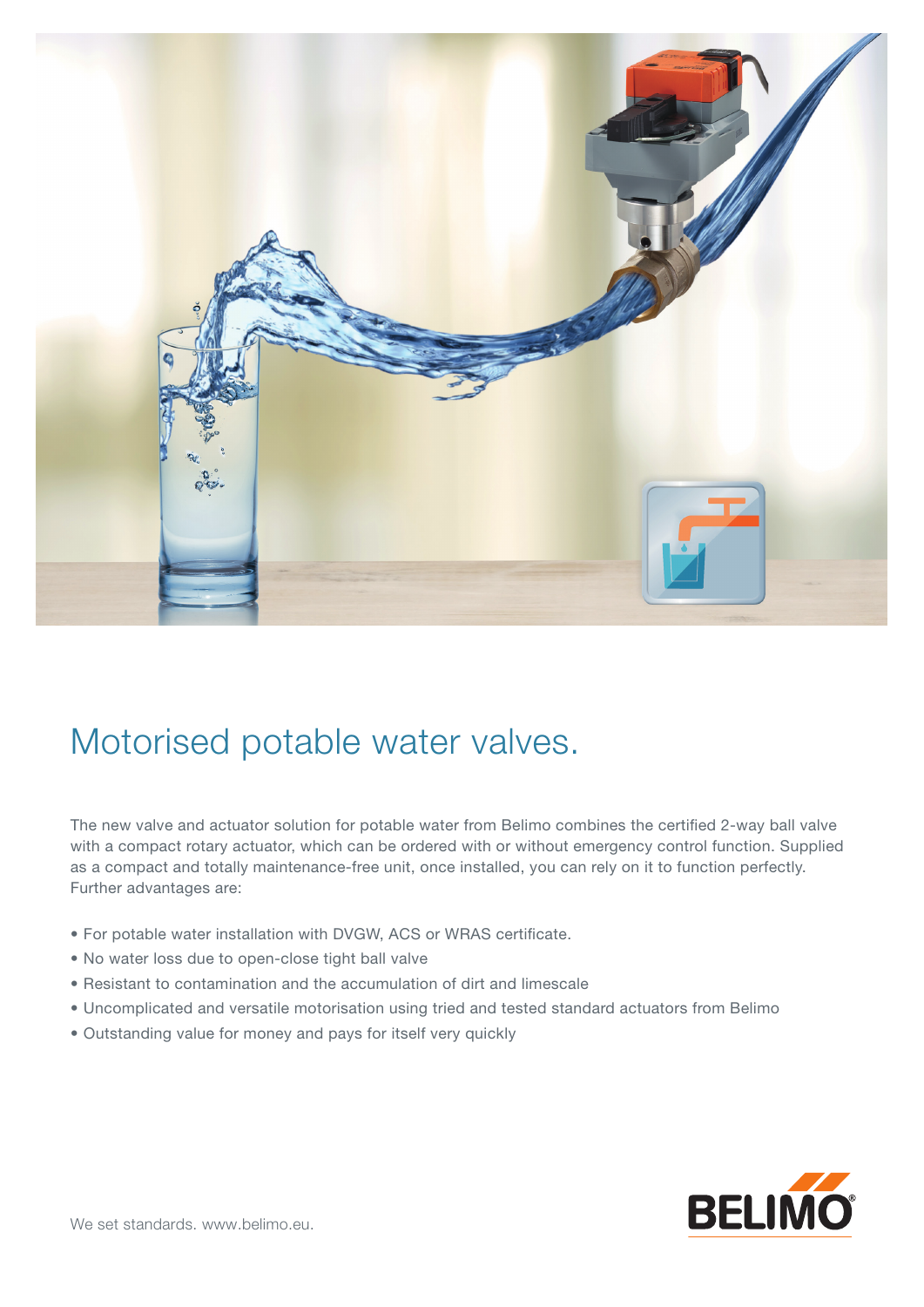

## Motorised potable water valves.

The new valve and actuator solution for potable water from Belimo combines the certified 2-way ball valve with a compact rotary actuator, which can be ordered with or without emergency control function. Supplied as a compact and totally maintenance-free unit, once installed, you can rely on it to function perfectly. Further advantages are:

- For potable water installation with DVGW, ACS or WRAS certificate.
- No water loss due to open-close tight ball valve
- Resistant to contamination and the accumulation of dirt and limescale
- Uncomplicated and versatile motorisation using tried and tested standard actuators from Belimo
- Outstanding value for money and pays for itself very quickly